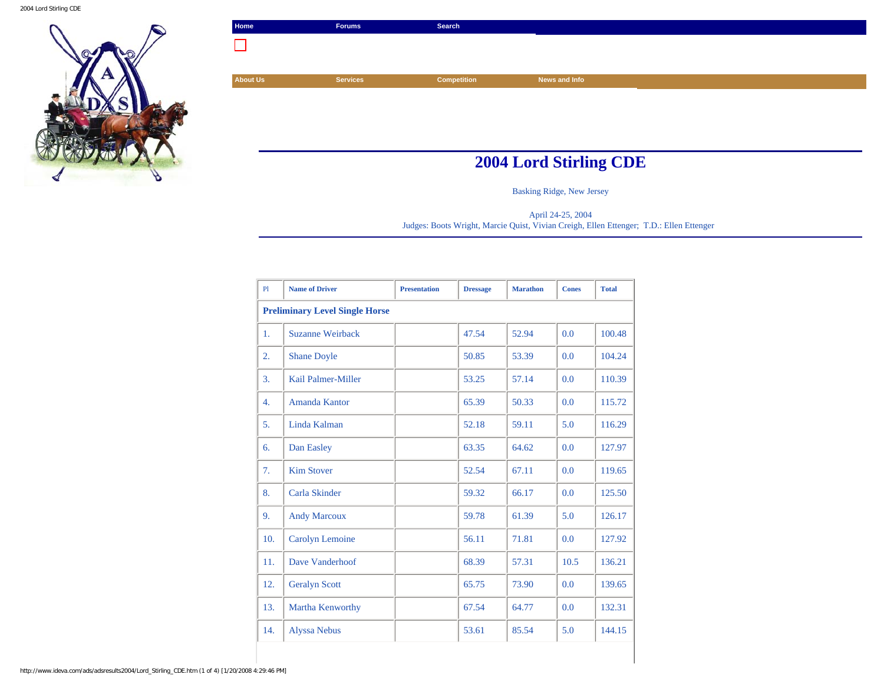

| Home                          | <b>Forums</b>   | Search             |               |  |  |
|-------------------------------|-----------------|--------------------|---------------|--|--|
|                               |                 |                    |               |  |  |
|                               |                 |                    |               |  |  |
| <b>About Us</b>               | <b>Services</b> | <b>Competition</b> | News and Info |  |  |
|                               |                 |                    |               |  |  |
|                               |                 |                    |               |  |  |
|                               |                 |                    |               |  |  |
|                               |                 |                    |               |  |  |
| <b>2004 Lord Stirling CDE</b> |                 |                    |               |  |  |

Basking Ridge, New Jersey

April 24-25, 2004 Judges: Boots Wright, Marcie Quist, Vivian Creigh, Ellen Ettenger; T.D.: Ellen Ettenger

| P1                                    | <b>Name of Driver</b>   | <b>Presentation</b> | <b>Dressage</b> | <b>Marathon</b> | <b>Cones</b> | <b>Total</b> |
|---------------------------------------|-------------------------|---------------------|-----------------|-----------------|--------------|--------------|
| <b>Preliminary Level Single Horse</b> |                         |                     |                 |                 |              |              |
| 1.                                    | <b>Suzanne Weirback</b> |                     | 47.54           | 52.94           | 0.0          | 100.48       |
| 2.                                    | <b>Shane Doyle</b>      |                     | 50.85           | 53.39           | 0.0          | 104.24       |
| 3.                                    | Kail Palmer-Miller      |                     | 53.25           | 57.14           | 0.0          | 110.39       |
| $\overline{4}$ .                      | <b>Amanda Kantor</b>    |                     | 65.39           | 50.33           | 0.0          | 115.72       |
| 5.                                    | Linda Kalman            |                     | 52.18           | 59.11           | 5.0          | 116.29       |
| 6.                                    | Dan Easley              |                     | 63.35           | 64.62           | 0.0          | 127.97       |
| 7.                                    | <b>Kim Stover</b>       |                     | 52.54           | 67.11           | 0.0          | 119.65       |
| 8.                                    | Carla Skinder           |                     | 59.32           | 66.17           | 0.0          | 125.50       |
| 9.                                    | <b>Andy Marcoux</b>     |                     | 59.78           | 61.39           | 5.0          | 126.17       |
| 10.                                   | <b>Carolyn Lemoine</b>  |                     | 56.11           | 71.81           | 0.0          | 127.92       |
| 11.                                   | Dave Vanderhoof         |                     | 68.39           | 57.31           | 10.5         | 136.21       |
| 12.                                   | <b>Geralyn Scott</b>    |                     | 65.75           | 73.90           | 0.0          | 139.65       |
| 13.                                   | Martha Kenworthy        |                     | 67.54           | 64.77           | 0.0          | 132.31       |
| 14.                                   | <b>Alyssa Nebus</b>     |                     | 53.61           | 85.54           | 5.0          | 144.15       |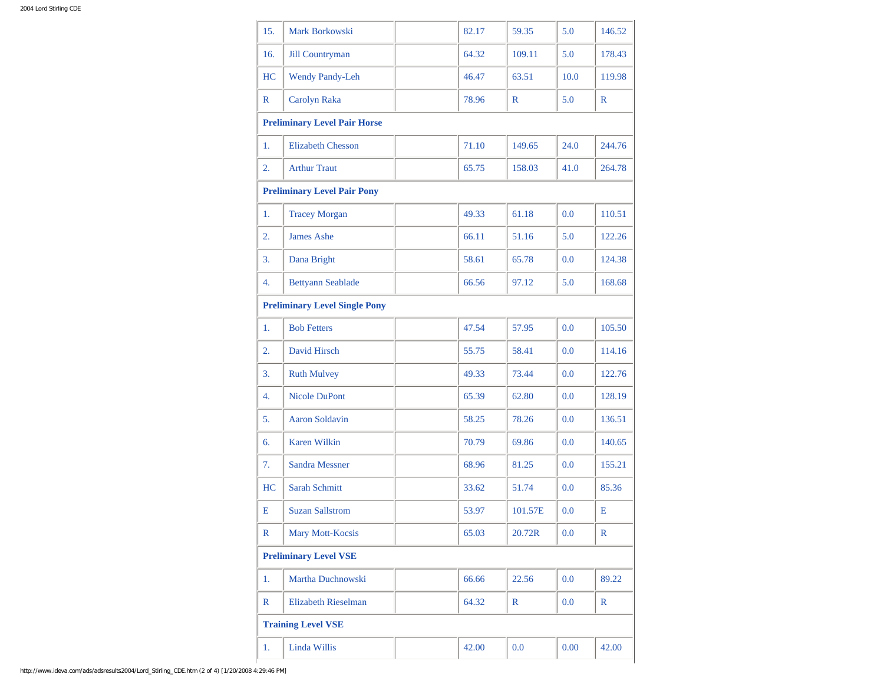| 15.              | <b>Mark Borkowski</b>                | 82.17 | 59.35        | 5.0      | 146.52       |
|------------------|--------------------------------------|-------|--------------|----------|--------------|
| 16.              | Jill Countryman                      | 64.32 | 109.11       | 5.0      | 178.43       |
| HC               | <b>Wendy Pandy-Leh</b>               | 46.47 | 63.51        | 10.0     | 119.98       |
| R                | Carolyn Raka                         | 78.96 | $\mathbb{R}$ | 5.0      | $\mathbb{R}$ |
|                  | <b>Preliminary Level Pair Horse</b>  |       |              |          |              |
| 1.               | <b>Elizabeth Chesson</b>             | 71.10 | 149.65       | 24.0     | 244.76       |
| $\overline{2}$ . | <b>Arthur Traut</b>                  | 65.75 | 158.03       | 41.0     | 264.78       |
|                  | <b>Preliminary Level Pair Pony</b>   |       |              |          |              |
| 1.               | <b>Tracey Morgan</b>                 | 49.33 | 61.18        | 0.0      | 110.51       |
| 2.               | <b>James Ashe</b>                    | 66.11 | 51.16        | 5.0      | 122.26       |
| 3.               | Dana Bright                          | 58.61 | 65.78        | $0.0\,$  | 124.38       |
| 4.               | <b>Bettyann Seablade</b>             | 66.56 | 97.12        | 5.0      | 168.68       |
|                  | <b>Preliminary Level Single Pony</b> |       |              |          |              |
| 1.               | <b>Bob Fetters</b>                   | 47.54 | 57.95        | $0.0\,$  | 105.50       |
| $\overline{2}$ . | David Hirsch                         | 55.75 | 58.41        | 0.0      | 114.16       |
| 3.               | <b>Ruth Mulvey</b>                   | 49.33 | 73.44        | 0.0      | 122.76       |
| 4.               | <b>Nicole DuPont</b>                 | 65.39 | 62.80        | 0.0      | 128.19       |
| 5.               | <b>Aaron Soldavin</b>                | 58.25 | 78.26        | 0.0      | 136.51       |
| 6.               | <b>Karen Wilkin</b>                  | 70.79 | 69.86        | 0.0      | 140.65       |
| 7.               | <b>Sandra Messner</b>                | 68.96 | 81.25        | 0.0      | 155.21       |
| HC               | <b>Sarah Schmitt</b>                 | 33.62 | 51.74        | $0.0\,$  | 85.36        |
| Е                | <b>Suzan Sallstrom</b>               | 53.97 | 101.57E      | 0.0      | Е            |
| R                | <b>Mary Mott-Kocsis</b>              | 65.03 | 20.72R       | $0.0\,$  | R            |
|                  | <b>Preliminary Level VSE</b>         |       |              |          |              |
| 1.               | Martha Duchnowski                    | 66.66 | 22.56        | $0.0\,$  | 89.22        |
| R                | <b>Elizabeth Rieselman</b>           | 64.32 | R            | $0.0\,$  | $\mathbb{R}$ |
|                  | <b>Training Level VSE</b>            |       |              |          |              |
| 1.               | Linda Willis                         | 42.00 | 0.0          | $0.00\,$ | 42.00        |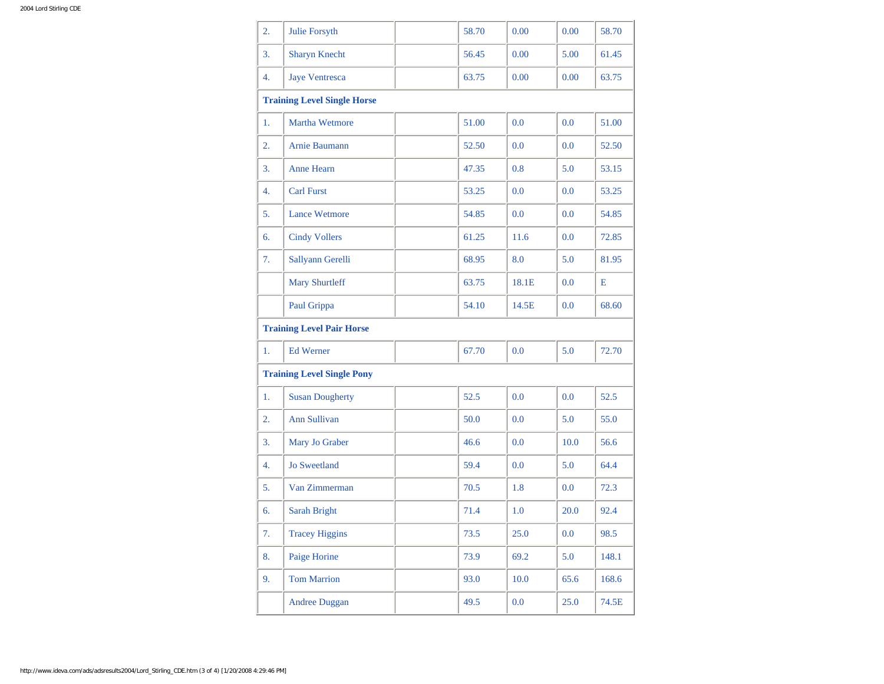| 2.                                | Julie Forsyth                      |      | 58.70 | 0.00  | 0.00 | 58.70 |  |
|-----------------------------------|------------------------------------|------|-------|-------|------|-------|--|
| 3.                                | <b>Sharyn Knecht</b>               |      | 56.45 | 0.00  | 5.00 | 61.45 |  |
| 4.                                | <b>Jaye Ventresca</b>              |      | 63.75 | 0.00  | 0.00 | 63.75 |  |
|                                   | <b>Training Level Single Horse</b> |      |       |       |      |       |  |
| 1.                                | <b>Martha Wetmore</b>              |      | 51.00 | 0.0   | 0.0  | 51.00 |  |
| 2.                                | Arnie Baumann                      |      | 52.50 | 0.0   | 0.0  | 52.50 |  |
| 3.                                | <b>Anne Hearn</b>                  |      | 47.35 | 0.8   | 5.0  | 53.15 |  |
| 4.                                | <b>Carl Furst</b>                  |      | 53.25 | 0.0   | 0.0  | 53.25 |  |
| 5.                                | <b>Lance Wetmore</b>               |      | 54.85 | 0.0   | 0.0  | 54.85 |  |
| 6.                                | <b>Cindy Vollers</b>               |      | 61.25 | 11.6  | 0.0  | 72.85 |  |
| 7.                                | Sallyann Gerelli                   |      | 68.95 | 8.0   | 5.0  | 81.95 |  |
|                                   | <b>Mary Shurtleff</b>              |      | 63.75 | 18.1E | 0.0  | Е     |  |
|                                   | Paul Grippa                        |      | 54.10 | 14.5E | 0.0  | 68.60 |  |
|                                   | <b>Training Level Pair Horse</b>   |      |       |       |      |       |  |
| 1.                                | <b>Ed Werner</b>                   |      | 67.70 | 0.0   | 5.0  | 72.70 |  |
| <b>Training Level Single Pony</b> |                                    |      |       |       |      |       |  |
| 1.                                | <b>Susan Dougherty</b>             | 52.5 |       | 0.0   | 0.0  | 52.5  |  |
| 2.                                | Ann Sullivan                       | 50.0 |       | 0.0   | 5.0  | 55.0  |  |
| 3.                                | Mary Jo Graber                     | 46.6 |       | 0.0   | 10.0 | 56.6  |  |
| 4.                                | <b>Jo Sweetland</b>                | 59.4 |       | 0.0   | 5.0  | 64.4  |  |
| 5.                                | Van Zimmerman                      | 70.5 |       | 1.8   | 0.0  | 72.3  |  |
| 6.                                | Sarah Bright                       | 71.4 |       | 1.0   | 20.0 | 92.4  |  |
| 7.                                | <b>Tracey Higgins</b>              | 73.5 |       | 25.0  | 0.0  | 98.5  |  |
| 8.                                | Paige Horine                       | 73.9 |       | 69.2  | 5.0  | 148.1 |  |
| 9.                                | <b>Tom Marrion</b>                 | 93.0 |       | 10.0  | 65.6 | 168.6 |  |
|                                   | <b>Andree Duggan</b>               | 49.5 |       | 0.0   | 25.0 | 74.5E |  |
|                                   |                                    |      |       |       |      |       |  |